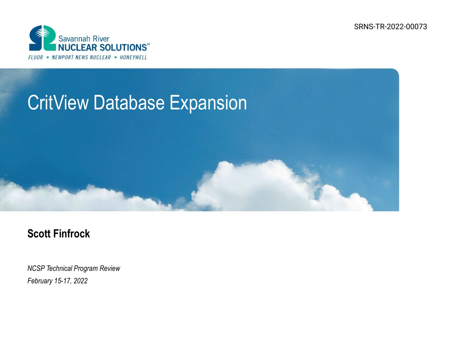SRNS-TR-2022-00073



## CritView Database Expansion

## **Scott Finfrock**

*NCSP Technical Program Review February 15-17, 2022*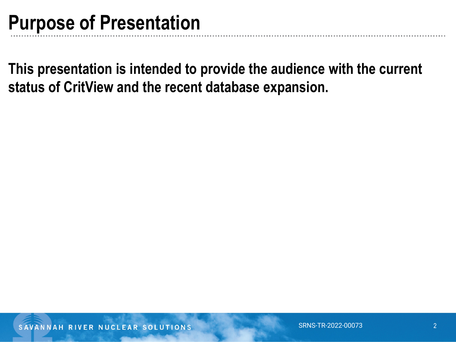**This presentation is intended to provide the audience with the current status of CritView and the recent database expansion.**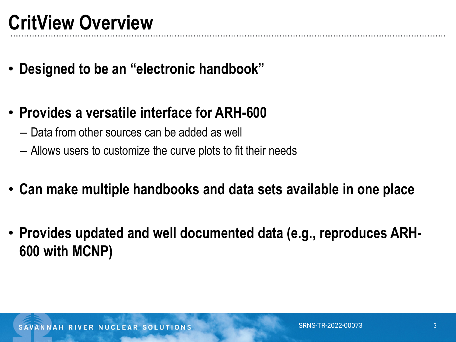- **Designed to be an "electronic handbook"**
- **Provides a versatile interface for ARH-600**
	- Data from other sources can be added as well
	- Allows users to customize the curve plots to fit their needs
- **Can make multiple handbooks and data sets available in one place**
- **Provides updated and well documented data (e.g., reproduces ARH-600 with MCNP)**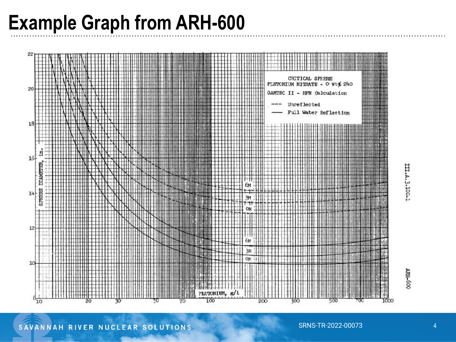## **Example Graph from ARH-600**



III.A.3.100-1

ARH-600

SAVANNAH RIVER NUCLEAR SOLUTIONS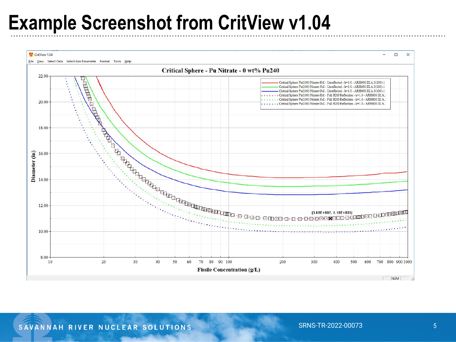## **Example Screenshot from CritView v1.04**

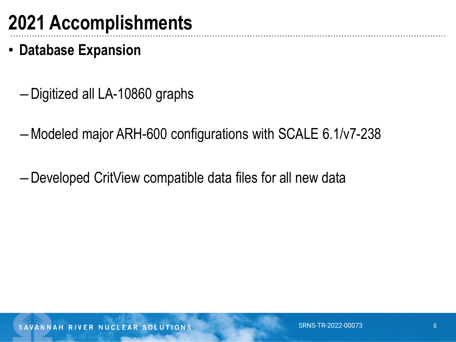- **Database Expansion**
	- –Digitized all LA-10860 graphs
	- –Modeled major ARH-600 configurations with SCALE 6.1/v7-238
	- –Developed CritView compatible data files for all new data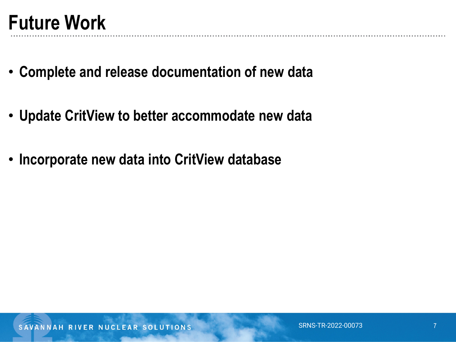- **Complete and release documentation of new data**
- **Update CritView to better accommodate new data**
- **Incorporate new data into CritView database**